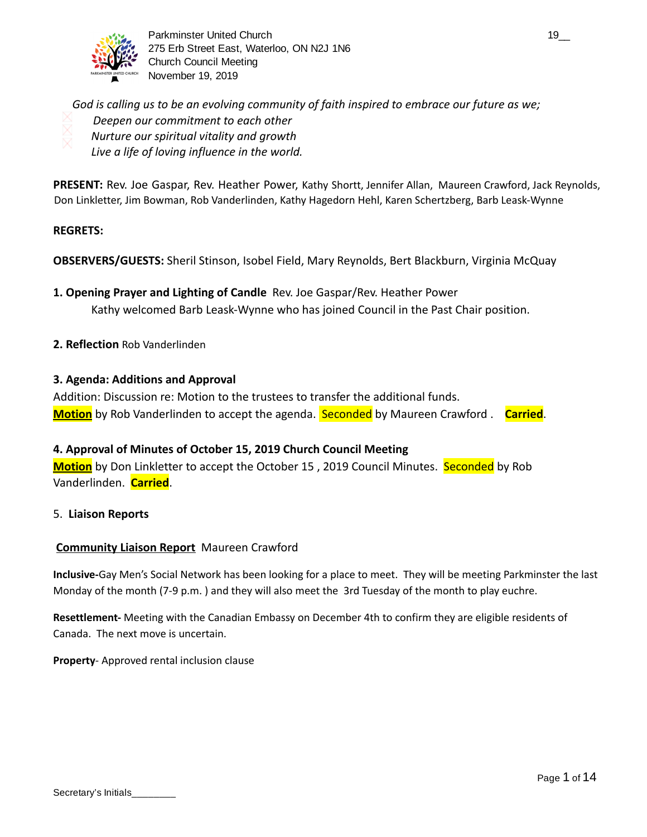

Parkminster United Church 19\_000 and the state of the state of the state of the state of the state of the state of the state of the state of the state of the state of the state of the state of the state of the state of the 275 Erb Street East, Waterloo, ON N2J 1N6 Church Council Meeting November 19, 2019

*God is calling us to be an evolving community of faith inspired to embrace our future as we; Deepen our commitment to each other Nurture our spiritual vitality and growth Live a life of loving influence in the world.* 

**PRESENT:** Rev. Joe Gaspar, Rev. Heather Power, Kathy Shortt, Jennifer Allan, Maureen Crawford, Jack Reynolds, Don Linkletter, Jim Bowman, Rob Vanderlinden, Kathy Hagedorn Hehl, Karen Schertzberg, Barb Leask-Wynne

# **REGRETS:**

**OBSERVERS/GUESTS:** Sheril Stinson, Isobel Field, Mary Reynolds, Bert Blackburn, Virginia McQuay

- **1. Opening Prayer and Lighting of Candle** Rev. Joe Gaspar/Rev. Heather Power Kathy welcomed Barb Leask-Wynne who has joined Council in the Past Chair position.
- **2. Reflection** Rob Vanderlinden

## **3. Agenda: Additions and Approval**

Addition: Discussion re: Motion to the trustees to transfer the additional funds. **Motion** by Rob Vanderlinden to accept the agenda. Seconded by Maureen Crawford . **Carried** .

# **4. Approval of Minutes of October 15, 2019 Church Council Meeting**

**Motion** by Don Linkletter to accept the October 15, 2019 Council Minutes. Seconded by Rob Vanderlinden. **Carried** .

#### 5. **Liaison Reports**

#### **Community Liaison Report** Maureen Crawford

**Inclusive-**Gay Men's Social Network has been looking for a place to meet. They will be meeting Parkminster the last Monday of the month (7-9 p.m. ) and they will also meet the 3rd Tuesday of the month to play euchre.

**Resettlement-** Meeting with the Canadian Embassy on December 4th to confirm they are eligible residents of Canada. The next move is uncertain.

**Property**- Approved rental inclusion clause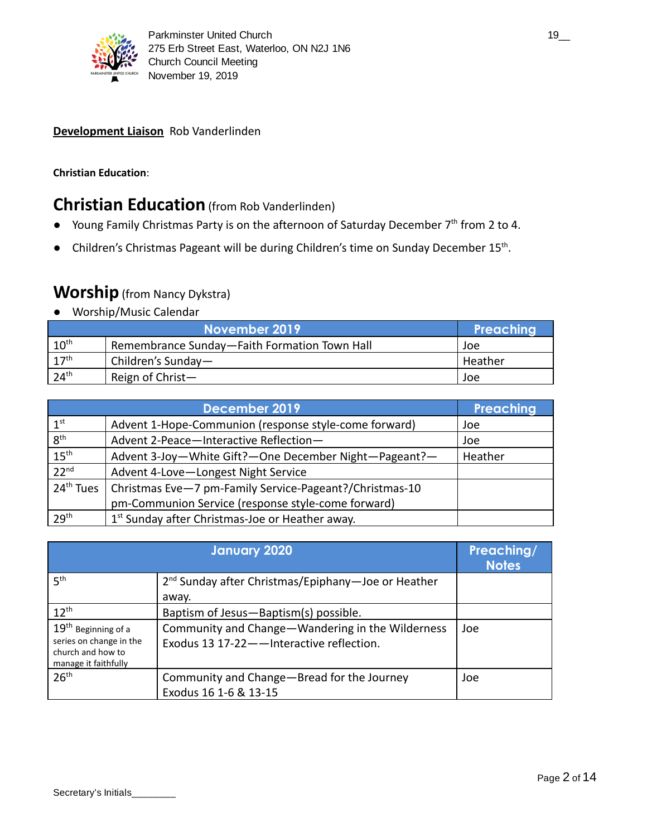

# **Development Liaison** Rob Vanderlinden

# **Christian Education**:

# **Christian Education** (from Rob Vanderlinden)

- Young Family Christmas Party is on the afternoon of Saturday December 7<sup>th</sup> from 2 to 4.
- Children's Christmas Pageant will be during Children's time on Sunday December 15<sup>th</sup>.

# **Worship** (from Nancy Dykstra)

● Worship/Music Calendar

|                  | Preaching                                    |         |
|------------------|----------------------------------------------|---------|
| 10 <sup>th</sup> | Remembrance Sunday-Faith Formation Town Hall | Joe     |
| 17 <sup>th</sup> | Children's Sunday-                           | Heather |
| 24 <sup>th</sup> | Reign of Christ $-$                          | Joe     |

|                       | Preaching                                                   |         |
|-----------------------|-------------------------------------------------------------|---------|
| 1 <sup>st</sup>       | Advent 1-Hope-Communion (response style-come forward)       | Joe     |
| $8^{\text{th}}$       | Advent 2-Peace-Interactive Reflection-                      | Joe     |
| 15 <sup>th</sup>      | Advent 3-Joy-White Gift?-One December Night-Pageant?-       | Heather |
| 22 <sup>nd</sup>      | Advent 4-Love-Longest Night Service                         |         |
| 24 <sup>th</sup> Tues | Christmas Eve-7 pm-Family Service-Pageant?/Christmas-10     |         |
|                       | pm-Communion Service (response style-come forward)          |         |
| 29 <sup>th</sup>      | 1 <sup>st</sup> Sunday after Christmas-Joe or Heather away. |         |

|                                                                                                         | <b>January 2020</b>                                                                           | Preaching/<br><b>Notes</b> |
|---------------------------------------------------------------------------------------------------------|-----------------------------------------------------------------------------------------------|----------------------------|
| 5 <sup>th</sup>                                                                                         | 2 <sup>nd</sup> Sunday after Christmas/Epiphany—Joe or Heather<br>away.                       |                            |
| $12^{th}$                                                                                               | Baptism of Jesus-Baptism(s) possible.                                                         |                            |
| $19^{\text{th}}$ Beginning of a<br>series on change in the<br>church and how to<br>manage it faithfully | Community and Change-Wandering in the Wilderness<br>Exodus 13 17-22 - Interactive reflection. | Joe                        |
| 26 <sup>th</sup>                                                                                        | Community and Change-Bread for the Journey<br>Exodus 16 1-6 & 13-15                           | Joe                        |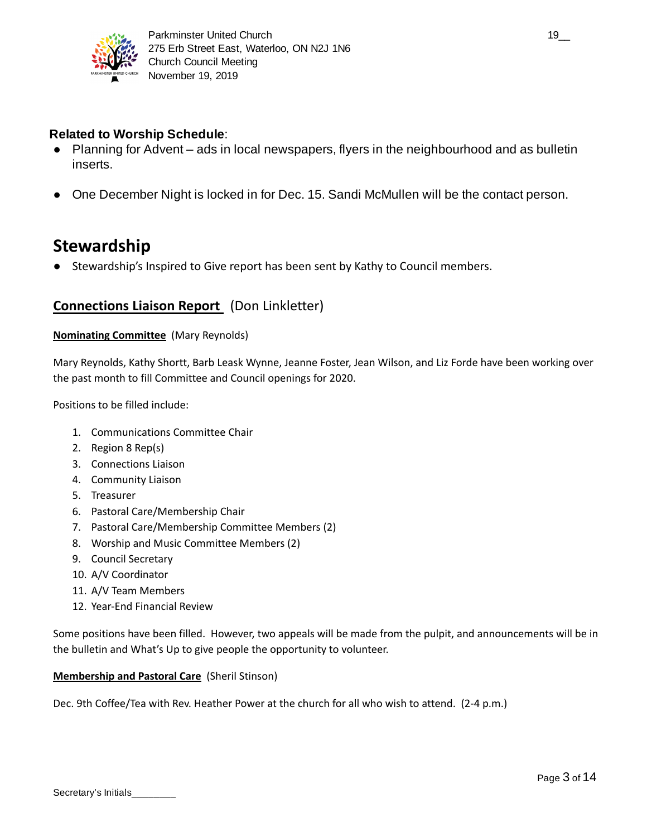

# **Related to Worship Schedule**:

- Planning for Advent ads in local newspapers, flyers in the neighbourhood and as bulletin inserts.
- One December Night is locked in for Dec. 15. Sandi McMullen will be the contact person.

# **Stewardship**

● Stewardship's Inspired to Give report has been sent by Kathy to Council members.

# **Connections Liaison Report** (Don Linkletter)

## **Nominating Committee** (Mary Reynolds)

Mary Reynolds, Kathy Shortt, Barb Leask Wynne, Jeanne Foster, Jean Wilson, and Liz Forde have been working over the past month to fill Committee and Council openings for 2020.

Positions to be filled include:

- 1. Communications Committee Chair
- 2. Region 8 Rep(s)
- 3. Connections Liaison
- 4. Community Liaison
- 5. Treasurer
- 6. Pastoral Care/Membership Chair
- 7. Pastoral Care/Membership Committee Members (2)
- 8. Worship and Music Committee Members (2)
- 9. Council Secretary
- 10. A/V Coordinator
- 11. A/V Team Members
- 12. Year-End Financial Review

Some positions have been filled. However, two appeals will be made from the pulpit, and announcements will be in the bulletin and What's Up to give people the opportunity to volunteer.

#### **Membership and Pastoral Care** (Sheril Stinson)

Dec. 9th Coffee/Tea with Rev. Heather Power at the church for all who wish to attend. (2-4 p.m.)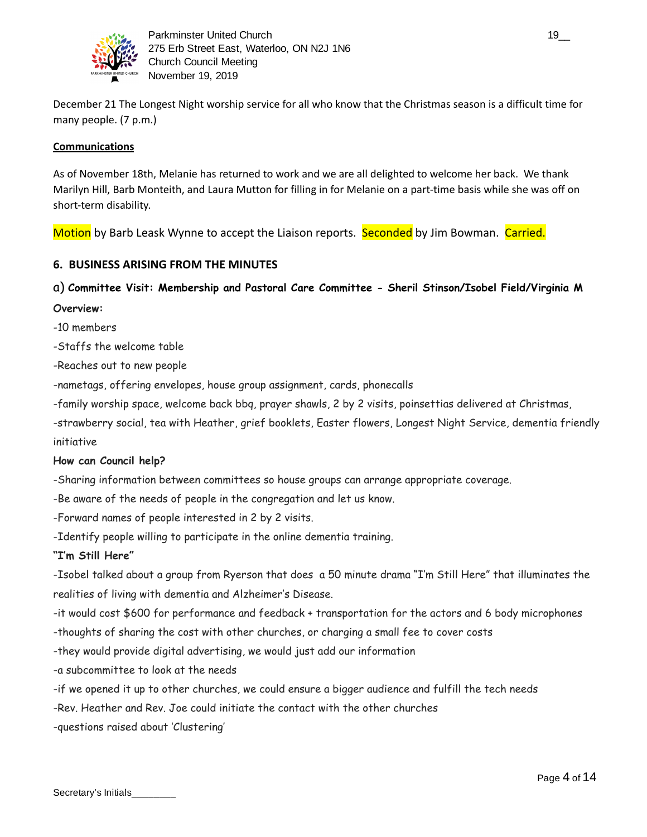

December 21 The Longest Night worship service for all who know that the Christmas season is a difficult time for many people. (7 p.m.)

## **Communications**

As of November 18th, Melanie has returned to work and we are all delighted to welcome her back. We thank Marilyn Hill, Barb Monteith, and Laura Mutton for filling in for Melanie on a part-time basis while she was off on short-term disability.

Motion by Barb Leask Wynne to accept the Liaison reports. Seconded by Jim Bowman. Carried.

# **6. BUSINESS ARISING FROM THE MINUTES**

# a) **Committee Visit: Membership and Pastoral Care Committee - Sheril Stinson/Isobel Field/Virginia M**

- **Overview:**
- -10 members
- -Staffs the welcome table
- -Reaches out to new people
- -nametags, offering envelopes, house group assignment, cards, phonecalls
- -family worship space, welcome back bbq, prayer shawls, 2 by 2 visits, poinsettias delivered at Christmas,
- -strawberry social, tea with Heather, grief booklets, Easter flowers, Longest Night Service, dementia friendly initiative

#### **How can Council help?**

-Sharing information between committees so house groups can arrange appropriate coverage.

- -Be aware of the needs of people in the congregation and let us know.
- -Forward names of people interested in 2 by 2 visits.
- -Identify people willing to participate in the online dementia training.

#### **"I'm Still Here"**

-Isobel talked about a group from Ryerson that does a 50 minute drama "I'm Still Here" that illuminates the realities of living with dementia and Alzheimer's Disease.

-it would cost \$600 for performance and feedback + transportation for the actors and 6 body microphones

-thoughts of sharing the cost with other churches, or charging a small fee to cover costs

- -they would provide digital advertising, we would just add our information
- -a subcommittee to look at the needs
- -if we opened it up to other churches, we could ensure a bigger audience and fulfill the tech needs
- -Rev. Heather and Rev. Joe could initiate the contact with the other churches
- -questions raised about 'Clustering'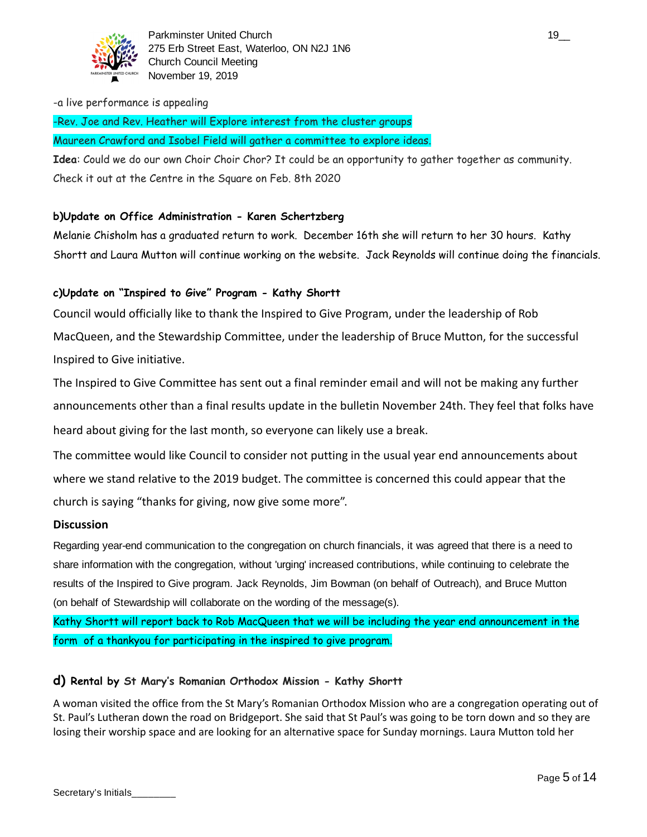

Parkminster United Church 19\_000 and 19\_000 and 19\_000 and 19\_000 and 19\_000 and 19\_000 and 19\_000 and 19\_000 and 19\_000 and 19\_000 and 19\_000 and 19\_000 and 19\_000 and 19\_000 and 19\_000 and 19\_000 and 19\_000 and 19\_000 an 275 Erb Street East, Waterloo, ON N2J 1N6 Church Council Meeting November 19, 2019

#### -a live performance is appealing

-Rev. Joe and Rev. Heather will Explore interest from the cluster groups

Maureen Crawford and Isobel Field will gather a committee to explore ideas.

**Idea**: Could we do our own Choir Choir Chor? It could be an opportunity to gather together as community. Check it out at the Centre in the Square on Feb. 8th 2020

# **b)Update on Office Administration - Karen Schertzberg**

Melanie Chisholm has a graduated return to work. December 16th she will return to her 30 hours. Kathy Shortt and Laura Mutton will continue working on the website. Jack Reynolds will continue doing the financials.

## **c)Update on "Inspired to Give" Program - Kathy Shortt**

Council would officially like to thank the Inspired to Give Program, under the leadership of Rob MacQueen, and the Stewardship Committee, under the leadership of Bruce Mutton, for the successful Inspired to Give initiative.

The Inspired to Give Committee has sent out a final reminder email and will not be making any further announcements other than a final results update in the bulletin November 24th. They feel that folks have heard about giving for the last month, so everyone can likely use a break.

The committee would like Council to consider not putting in the usual year end announcements about where we stand relative to the 2019 budget. The committee is concerned this could appear that the church is saying "thanks for giving, now give some more".

#### **Discussion**

Regarding year-end communication to the congregation on church financials, it was agreed that there is a need to share information with the congregation, without 'urging' increased contributions, while continuing to celebrate the results of the Inspired to Give program. Jack Reynolds, Jim Bowman (on behalf of Outreach), and Bruce Mutton (on behalf of Stewardship will collaborate on the wording of the message(s).

Kathy Shortt will report back to Rob MacQueen that we will be including the year end announcement in the form of a thankyou for participating in the inspired to give program.

#### **d) Rental by St Mary's Romanian Orthodox Mission - Kathy Shortt**

A woman visited the office from the St Mary's Romanian Orthodox Mission who are a congregation operating out of St. Paul's Lutheran down the road on Bridgeport. She said that St Paul's was going to be torn down and so they are losing their worship space and are looking for an alternative space for Sunday mornings. Laura Mutton told her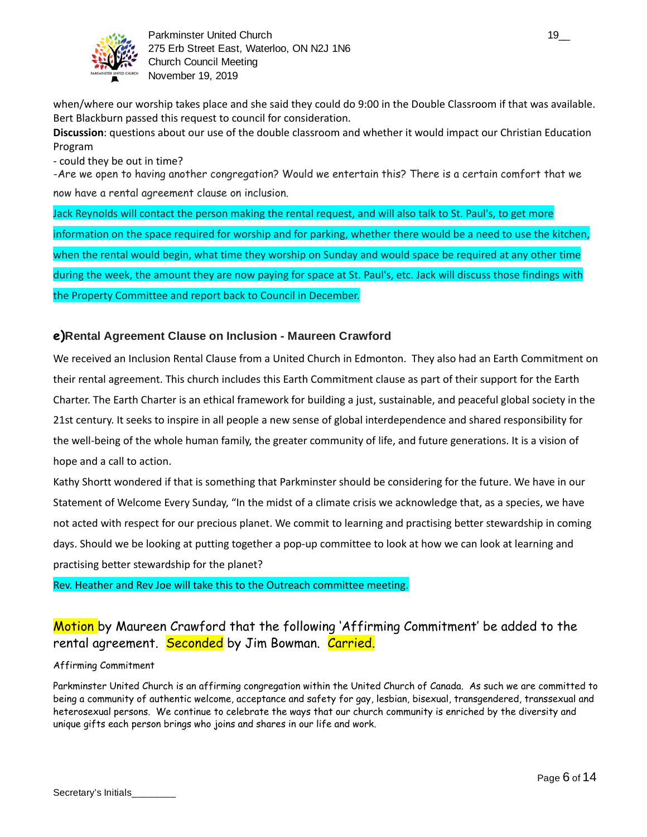

Parkminster United Church 19\_000 and the state of the state of the state of the state of the state of the state of the state of the state of the state of the state of the state of the state of the state of the state of the 275 Erb Street East, Waterloo, ON N2J 1N6 Church Council Meeting November 19, 2019

when/where our worship takes place and she said they could do 9:00 in the Double Classroom if that was available. Bert Blackburn passed this request to council for consideration.

**Discussion**: questions about our use of the double classroom and whether it would impact our Christian Education Program

- could they be out in time?

-Are we open to having another congregation? Would we entertain this? There is a certain comfort that we now have a rental agreement clause on inclusion.

Jack Reynolds will contact the person making the rental request, and will also talk to St. Paul's, to get more information on the space required for worship and for parking, whether there would be a need to use the kitchen, when the rental would begin, what time they worship on Sunday and would space be required at any other time during the week, the amount they are now paying for space at St. Paul's, etc. Jack will discuss those findings with the Property Committee and report back to Council in December.

# **e) Rental Agreement Clause on Inclusion - Maureen Crawford**

We received an Inclusion Rental Clause from a United Church in Edmonton. They also had an Earth Commitment on their rental agreement. This church includes this Earth Commitment clause as part of their support for the Earth Charter. The Earth Charter is an ethical framework for building a just, sustainable, and peaceful global society in the 21st century. It seeks to inspire in all people a new sense of global interdependence and shared responsibility for the well-being of the whole human family, the greater community of life, and future generations. It is a vision of hope and a call to action.

Kathy Shortt wondered if that is something that Parkminster should be considering for the future. We have in our Statement of Welcome Every Sunday, "In the midst of a climate crisis we acknowledge that, as a species, we have not acted with respect for our precious planet. We commit to learning and practising better stewardship in coming days. Should we be looking at putting together a pop-up committee to look at how we can look at learning and practising better stewardship for the planet?

Rev. Heather and Rev Joe will take this to the Outreach committee meeting.

# Motion by Maureen Crawford that the following 'Affirming Commitment' be added to the rental agreement. Seconded by Jim Bowman. Carried.

#### Affirming Commitment

Parkminster United Church is an affirming congregation within the United Church of Canada. As such we are committed to being a community of authentic welcome, acceptance and safety for gay, lesbian, bisexual, transgendered, transsexual and heterosexual persons. We continue to celebrate the ways that our church community is enriched by the diversity and unique gifts each person brings who joins and shares in our life and work.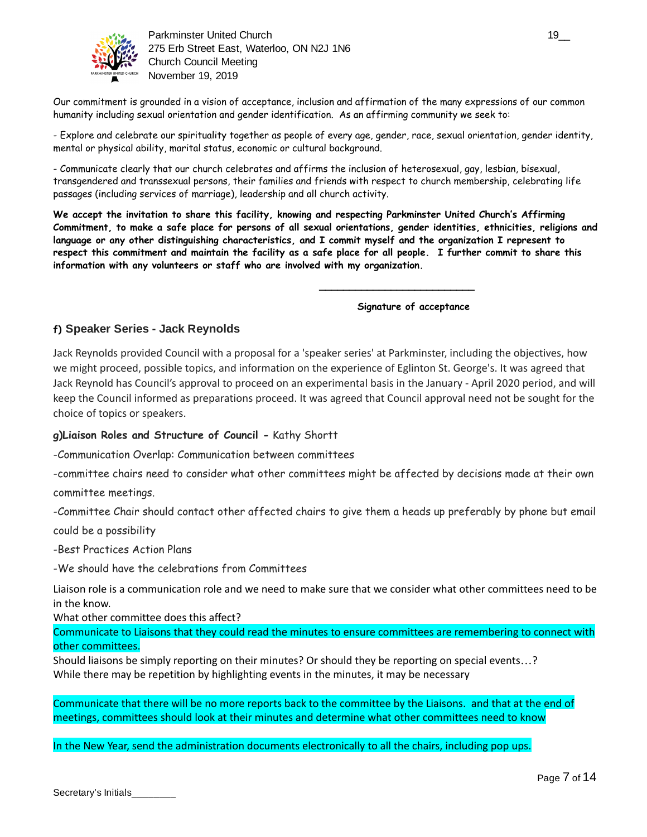

Parkminster United Church 19\_\_ 275 Erb Street East, Waterloo, ON N2J 1N6 Church Council Meeting November 19, 2019

Our commitment is grounded in a vision of acceptance, inclusion and affirmation of the many expressions of our common humanity including sexual orientation and gender identification. As an affirming community we seek to:

- Explore and celebrate our spirituality together as people of every age, gender, race, sexual orientation, gender identity, mental or physical ability, marital status, economic or cultural background.

- Communicate clearly that our church celebrates and affirms the inclusion of heterosexual, gay, lesbian, bisexual, transgendered and transsexual persons, their families and friends with respect to church membership, celebrating life passages (including services of marriage), leadership and all church activity.

**We accept the invitation to share this facility, knowing and respecting Parkminster United Church's Affirming Commitment, to make a safe place for persons of all sexual orientations, gender identities, ethnicities, religions and language or any other distinguishing characteristics, and I commit myself and the organization I represent to respect this commitment and maintain the facility as a safe place for all people. I further commit to share this information with any volunteers or staff who are involved with my organization.** 

**Signature of acceptance** 

**\_\_\_\_\_\_\_\_\_\_\_\_\_\_\_\_\_\_\_\_\_\_\_\_\_\_** 

## **f) Speaker Series - Jack Reynolds**

Jack Reynolds provided Council with a proposal for a 'speaker series' at Parkminster, including the objectives, how we might proceed, possible topics, and information on the experience of Eglinton St. George's. It was agreed that Jack Reynold has Council's approval to proceed on an experimental basis in the January - April 2020 period, and will keep the Council informed as preparations proceed. It was agreed that Council approval need not be sought for the choice of topics or speakers.

#### **g)Liaison Roles and Structure of Council -** Kathy Shortt

-Communication Overlap: Communication between committees

-committee chairs need to consider what other committees might be affected by decisions made at their own

committee meetings.

-Committee Chair should contact other affected chairs to give them a heads up preferably by phone but email could be a possibility

-Best Practices Action Plans

-We should have the celebrations from Committees

Liaison role is a communication role and we need to make sure that we consider what other committees need to be in the know.

What other committee does this affect?

Communicate to Liaisons that they could read the minutes to ensure committees are remembering to connect with other committees.

Should liaisons be simply reporting on their minutes? Or should they be reporting on special events…? While there may be repetition by highlighting events in the minutes, it may be necessary

Communicate that there will be no more reports back to the committee by the Liaisons. and that at the end of meetings, committees should look at their minutes and determine what other committees need to know

In the New Year, send the administration documents electronically to all the chairs, including pop ups.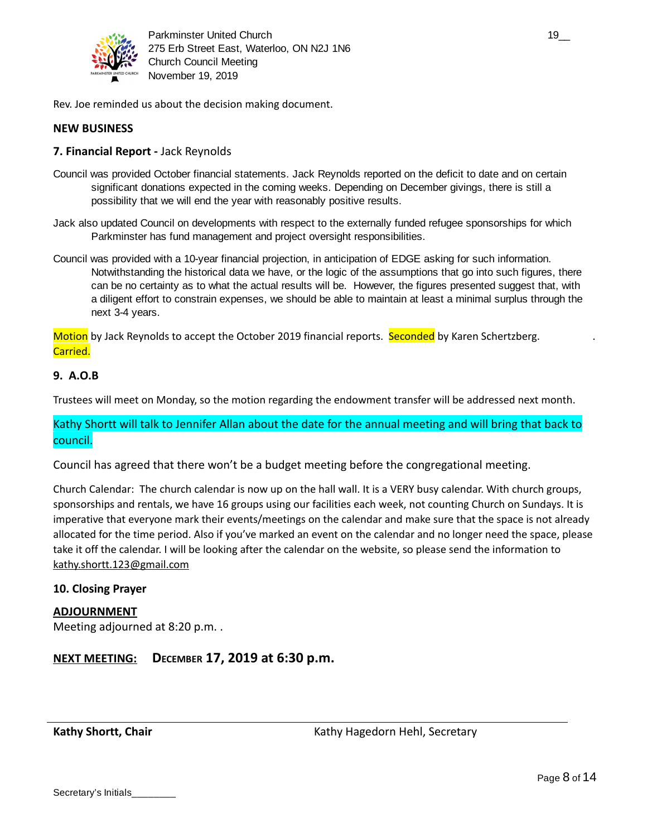

Parkminster United Church 19\_2 and the state of the state of the state of the state of the state of the state o 275 Erb Street East, Waterloo, ON N2J 1N6 Church Council Meeting November 19, 2019

Rev. Joe reminded us about the decision making document.

## **NEW BUSINESS**

#### **7. Financial Report -** Jack Reynolds

- Council was provided October financial statements. Jack Reynolds reported on the deficit to date and on certain significant donations expected in the coming weeks. Depending on December givings, there is still a possibility that we will end the year with reasonably positive results.
- Jack also updated Council on developments with respect to the externally funded refugee sponsorships for which Parkminster has fund management and project oversight responsibilities.
- Council was provided with a 10-year financial projection, in anticipation of EDGE asking for such information. Notwithstanding the historical data we have, or the logic of the assumptions that go into such figures, there can be no certainty as to what the actual results will be. However, the figures presented suggest that, with a diligent effort to constrain expenses, we should be able to maintain at least a minimal surplus through the next 3-4 years.

Motion by Jack Reynolds to accept the October 2019 financial reports. Seconded by Karen Schertzberg. Carried.

## **9. A.O.B**

Trustees will meet on Monday, so the motion regarding the endowment transfer will be addressed next month.

Kathy Shortt will talk to Jennifer Allan about the date for the annual meeting and will bring that back to council.

Council has agreed that there won't be a budget meeting before the congregational meeting.

Church Calendar: The church calendar is now up on the hall wall. It is a VERY busy calendar. With church groups, sponsorships and rentals, we have 16 groups using our facilities each week, not counting Church on Sundays. It is imperative that everyone mark their events/meetings on the calendar and make sure that the space is not already allocated for the time period. Also if you've marked an event on the calendar and no longer need the space, please take it off the calendar. I will be looking after the calendar on the website, so please send the information to [kathy.shortt.123@gmail.com](mailto:kathy.shortt.123@gmail.com)

#### **10. Closing Prayer**

#### **ADJOURNMENT**

Meeting adjourned at 8:20 p.m. .

**NEXT MEETING: DECEMBER 17, 2019 at 6:30 p.m.**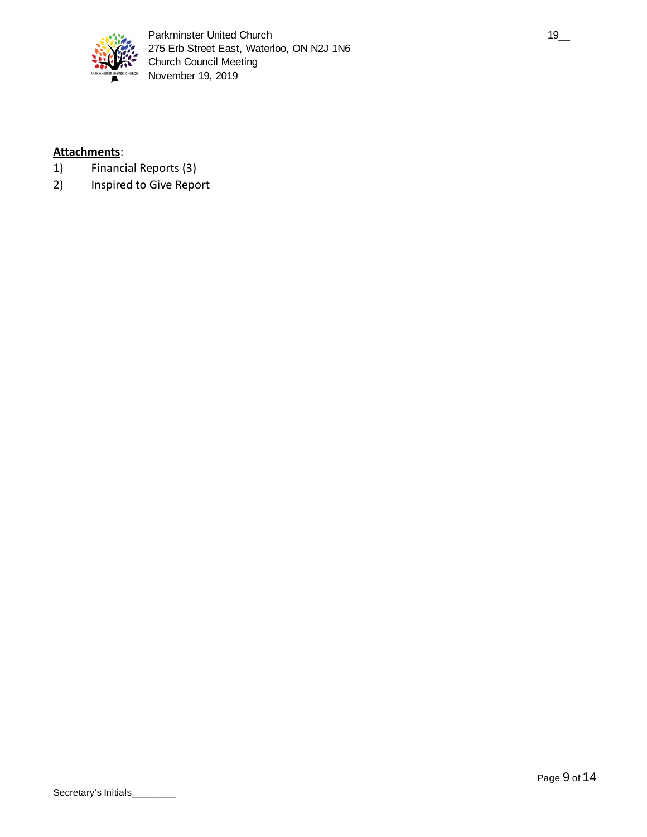

# **Attachments** :

- 1) Financial Reports (3)
- 2) Inspired to Give Report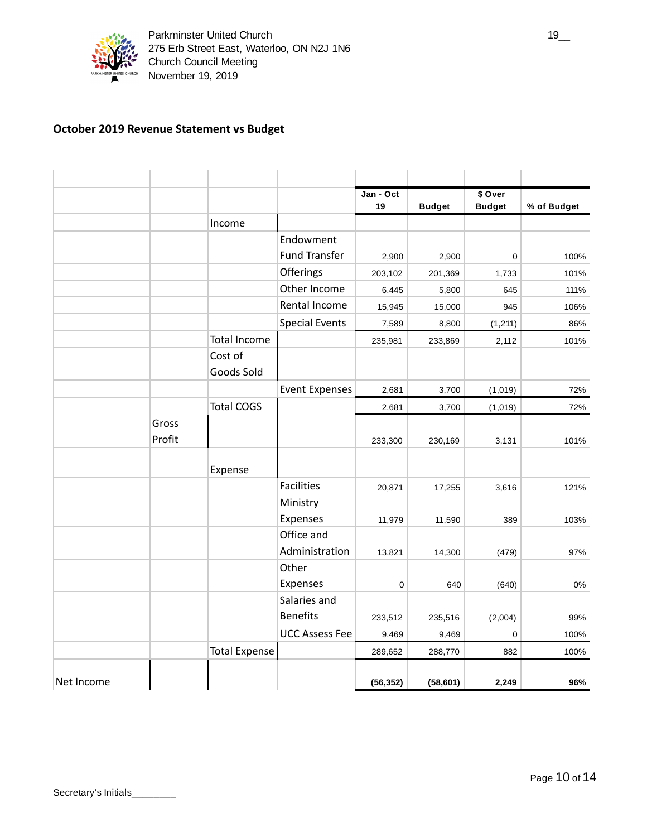

# **October 2019 Revenue Statement vs Budget**

|            |        |                      |                       | Jan - Oct |               | \$ Over       |             |
|------------|--------|----------------------|-----------------------|-----------|---------------|---------------|-------------|
|            |        |                      |                       | 19        | <b>Budget</b> | <b>Budget</b> | % of Budget |
|            |        | Income               |                       |           |               |               |             |
|            |        |                      | Endowment             |           |               |               |             |
|            |        |                      | <b>Fund Transfer</b>  | 2,900     | 2,900         | 0             | 100%        |
|            |        |                      | Offerings             | 203,102   | 201,369       | 1,733         | 101%        |
|            |        |                      | Other Income          | 6,445     | 5,800         | 645           | 111%        |
|            |        |                      | Rental Income         | 15,945    | 15,000        | 945           | 106%        |
|            |        |                      | <b>Special Events</b> | 7,589     | 8,800         | (1, 211)      | 86%         |
|            |        | <b>Total Income</b>  |                       | 235,981   | 233,869       | 2,112         | 101%        |
|            |        | Cost of              |                       |           |               |               |             |
|            |        | Goods Sold           |                       |           |               |               |             |
|            |        |                      | <b>Event Expenses</b> | 2,681     | 3,700         | (1,019)       | 72%         |
|            |        | <b>Total COGS</b>    |                       | 2,681     | 3,700         | (1,019)       | 72%         |
|            | Gross  |                      |                       |           |               |               |             |
|            | Profit |                      |                       | 233,300   | 230,169       | 3,131         | 101%        |
|            |        |                      |                       |           |               |               |             |
|            |        | Expense              |                       |           |               |               |             |
|            |        |                      | <b>Facilities</b>     | 20,871    | 17,255        | 3,616         | 121%        |
|            |        |                      | Ministry              |           |               |               |             |
|            |        |                      | Expenses              | 11,979    | 11,590        | 389           | 103%        |
|            |        |                      | Office and            |           |               |               |             |
|            |        |                      | Administration        | 13,821    | 14,300        | (479)         | 97%         |
|            |        |                      | Other                 |           |               |               |             |
|            |        |                      | Expenses              | 0         | 640           | (640)         | 0%          |
|            |        |                      | Salaries and          |           |               |               |             |
|            |        |                      | <b>Benefits</b>       | 233,512   | 235,516       | (2,004)       | 99%         |
|            |        |                      | <b>UCC Assess Fee</b> | 9,469     | 9,469         | $\mathbf 0$   | 100%        |
|            |        | <b>Total Expense</b> |                       | 289,652   | 288,770       | 882           | 100%        |
|            |        |                      |                       |           |               |               |             |
| Net Income |        |                      |                       | (56, 352) | (58, 601)     | 2,249         | 96%         |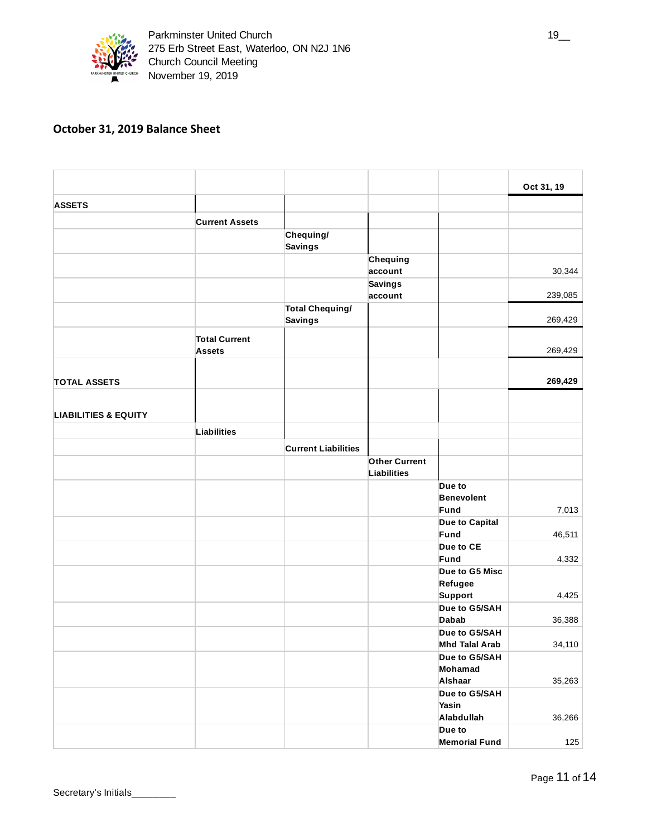

# **October 31, 2019 Balance Sheet**

|                                 |                                       |                            |                           |                                        | Oct 31, 19 |
|---------------------------------|---------------------------------------|----------------------------|---------------------------|----------------------------------------|------------|
| <b>ASSETS</b>                   |                                       |                            |                           |                                        |            |
|                                 | <b>Current Assets</b>                 |                            |                           |                                        |            |
|                                 |                                       | Chequing/                  |                           |                                        |            |
|                                 |                                       | <b>Savings</b>             |                           |                                        |            |
|                                 |                                       |                            | Chequing                  |                                        |            |
|                                 |                                       |                            | account<br><b>Savings</b> |                                        | 30,344     |
|                                 |                                       |                            | account                   |                                        | 239,085    |
|                                 |                                       | Total Chequing/            |                           |                                        |            |
|                                 |                                       | <b>Savings</b>             |                           |                                        | 269,429    |
|                                 | <b>Total Current</b><br><b>Assets</b> |                            |                           |                                        | 269,429    |
| <b>TOTAL ASSETS</b>             |                                       |                            |                           |                                        | 269,429    |
| <b>LIABILITIES &amp; EQUITY</b> |                                       |                            |                           |                                        |            |
|                                 | Liabilities                           |                            |                           |                                        |            |
|                                 |                                       | <b>Current Liabilities</b> |                           |                                        |            |
|                                 |                                       |                            | <b>Other Current</b>      |                                        |            |
|                                 |                                       |                            | <b>Liabilities</b>        |                                        |            |
|                                 |                                       |                            |                           | Due to                                 |            |
|                                 |                                       |                            |                           | <b>Benevolent</b><br>Fund              | 7,013      |
|                                 |                                       |                            |                           | Due to Capital                         |            |
|                                 |                                       |                            |                           | Fund                                   | 46,511     |
|                                 |                                       |                            |                           | Due to CE                              |            |
|                                 |                                       |                            |                           | Fund                                   | 4,332      |
|                                 |                                       |                            |                           | Due to G5 Misc                         |            |
|                                 |                                       |                            |                           | Refugee<br>Support                     | 4,425      |
|                                 |                                       |                            |                           | Due to G5/SAH                          |            |
|                                 |                                       |                            |                           | <b>Dabab</b>                           | 36,388     |
|                                 |                                       |                            |                           | Due to G5/SAH<br><b>Mhd Talal Arab</b> | 34,110     |
|                                 |                                       |                            |                           | Due to G5/SAH                          |            |
|                                 |                                       |                            |                           | Mohamad                                |            |
|                                 |                                       |                            |                           | Alshaar                                | 35,263     |
|                                 |                                       |                            |                           | Due to G5/SAH                          |            |
|                                 |                                       |                            |                           | Yasin                                  |            |
|                                 |                                       |                            |                           | Alabdullah<br>Due to                   | 36,266     |
|                                 |                                       |                            |                           | <b>Memorial Fund</b>                   | 125        |
|                                 |                                       |                            |                           |                                        |            |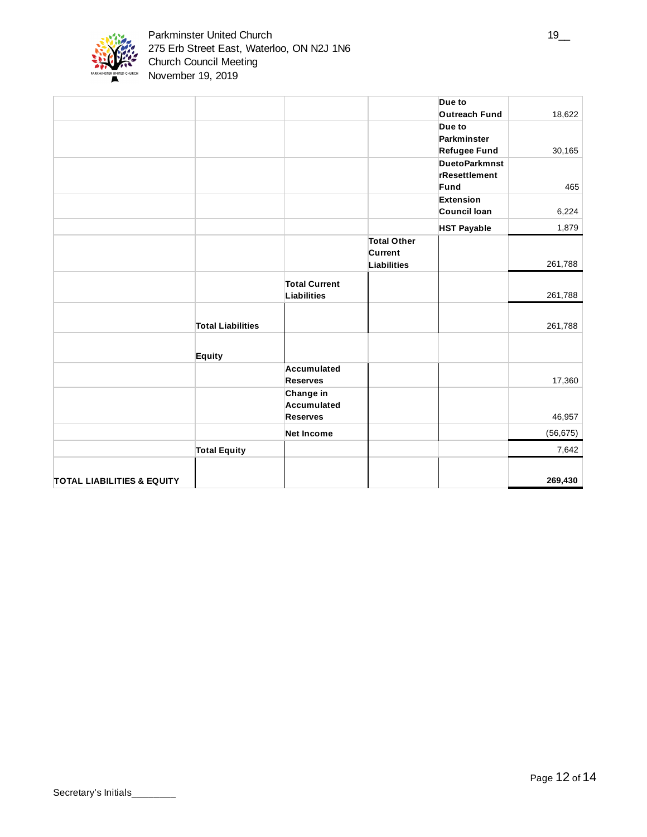

|                                       |                          |                      |                    | Due to               |           |
|---------------------------------------|--------------------------|----------------------|--------------------|----------------------|-----------|
|                                       |                          |                      |                    | <b>Outreach Fund</b> | 18,622    |
|                                       |                          |                      |                    | Due to               |           |
|                                       |                          |                      |                    | Parkminster          |           |
|                                       |                          |                      |                    | Refugee Fund         | 30,165    |
|                                       |                          |                      |                    | <b>DuetoParkmnst</b> |           |
|                                       |                          |                      |                    | rResettlement        |           |
|                                       |                          |                      |                    | Fund                 | 465       |
|                                       |                          |                      |                    | Extension            |           |
|                                       |                          |                      |                    | Council Ioan         | 6,224     |
|                                       |                          |                      |                    | <b>HST Payable</b>   | 1,879     |
|                                       |                          |                      | <b>Total Other</b> |                      |           |
|                                       |                          |                      | Current            |                      |           |
|                                       |                          |                      | Liabilities        |                      | 261,788   |
|                                       |                          | <b>Total Current</b> |                    |                      |           |
|                                       |                          | Liabilities          |                    |                      | 261,788   |
|                                       |                          |                      |                    |                      |           |
|                                       |                          |                      |                    |                      |           |
|                                       | <b>Total Liabilities</b> |                      |                    |                      | 261,788   |
|                                       |                          |                      |                    |                      |           |
|                                       | Equity                   |                      |                    |                      |           |
|                                       |                          | Accumulated          |                    |                      |           |
|                                       |                          | <b>Reserves</b>      |                    |                      | 17,360    |
|                                       |                          | Change in            |                    |                      |           |
|                                       |                          | Accumulated          |                    |                      |           |
|                                       |                          | <b>Reserves</b>      |                    |                      | 46,957    |
|                                       |                          | <b>Net Income</b>    |                    |                      | (56, 675) |
|                                       | <b>Total Equity</b>      |                      |                    |                      | 7,642     |
|                                       |                          |                      |                    |                      |           |
| <b>TOTAL LIABILITIES &amp; EQUITY</b> |                          |                      |                    |                      | 269,430   |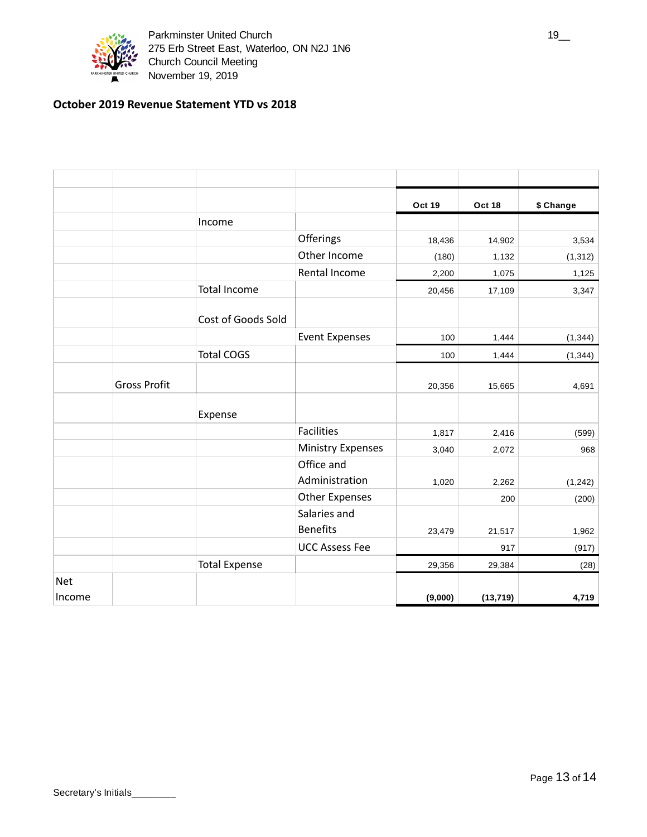

Parkminster United Church 19\_\_ 275 Erb Street East, Waterloo, ON N2J 1N6 Church Council Meeting November 19, 2019

# **October 2019 Revenue Statement YTD vs 2018**

|            |                     |                      |                          | Oct 19  | Oct 18    | \$ Change |
|------------|---------------------|----------------------|--------------------------|---------|-----------|-----------|
|            |                     | Income               |                          |         |           |           |
|            |                     |                      | Offerings                | 18,436  | 14,902    | 3,534     |
|            |                     |                      | Other Income             | (180)   | 1,132     | (1, 312)  |
|            |                     |                      | Rental Income            | 2,200   | 1,075     | 1,125     |
|            |                     | <b>Total Income</b>  |                          | 20,456  | 17,109    | 3,347     |
|            |                     | Cost of Goods Sold   |                          |         |           |           |
|            |                     |                      | <b>Event Expenses</b>    | 100     | 1,444     | (1, 344)  |
|            |                     | <b>Total COGS</b>    |                          | 100     | 1,444     | (1, 344)  |
|            | <b>Gross Profit</b> |                      |                          | 20,356  | 15,665    | 4,691     |
|            |                     | Expense              |                          |         |           |           |
|            |                     |                      | <b>Facilities</b>        | 1,817   | 2,416     | (599)     |
|            |                     |                      | <b>Ministry Expenses</b> | 3,040   | 2,072     | 968       |
|            |                     |                      | Office and               |         |           |           |
|            |                     |                      | Administration           | 1,020   | 2,262     | (1, 242)  |
|            |                     |                      | <b>Other Expenses</b>    |         | 200       | (200)     |
|            |                     |                      | Salaries and             |         |           |           |
|            |                     |                      | <b>Benefits</b>          | 23,479  | 21,517    | 1,962     |
|            |                     |                      | <b>UCC Assess Fee</b>    |         | 917       | (917)     |
|            |                     | <b>Total Expense</b> |                          | 29,356  | 29,384    | (28)      |
| <b>Net</b> |                     |                      |                          |         |           |           |
| Income     |                     |                      |                          | (9,000) | (13, 719) | 4,719     |